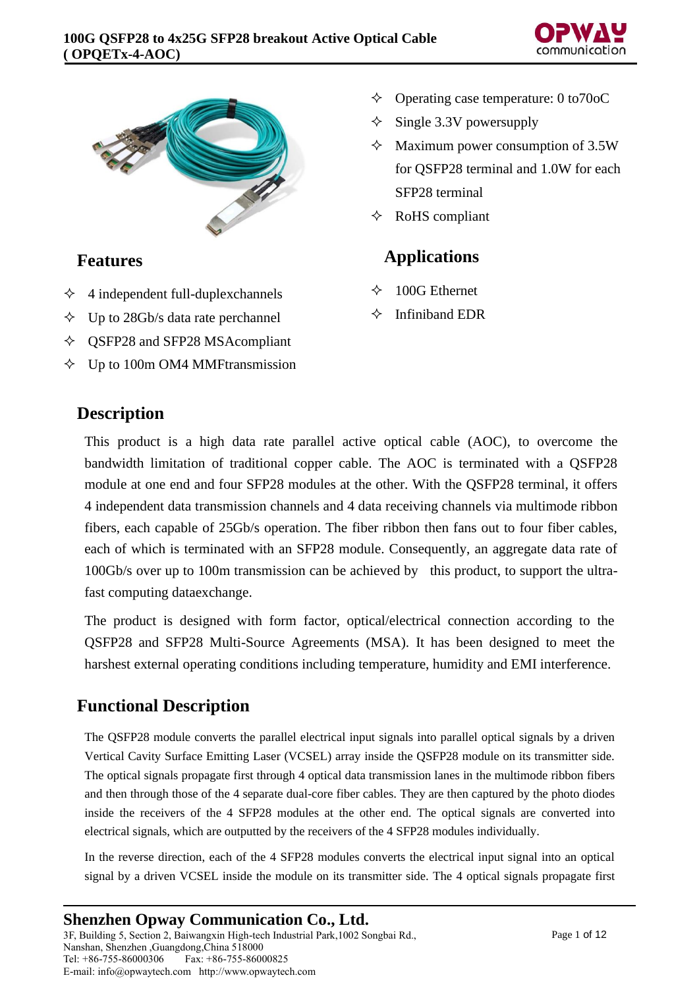



## **Features**

- $\triangle$  4 independent full-duplexchannels
- $\div$  Up to 28Gb/s data rate perchannel
- $\diamond$  QSFP28 and SFP28 MSAcompliant
- $\Diamond$  Up to 100m OM4 MMFtransmission
- $\Diamond$  Operating case temperature: 0 to 70 o C
- Single 3.3V powersupply
- $\triangle$  Maximum power consumption of 3.5W for QSFP28 terminal and 1.0W for each SFP28 terminal
- $\Diamond$  RoHS compliant

## **Applications**

- $\div$  100G Ethernet
- $\Diamond$  Infiniband EDR

## **Description**

This product is a high data rate parallel active optical cable (AOC), to overcome the bandwidth limitation of traditional copper cable. The AOC is terminated with a QSFP28 module at one end and four SFP28 modules at the other. With the QSFP28 terminal, it offers 4 independent data transmission channels and 4 data receiving channels via multimode ribbon fibers, each capable of 25Gb/s operation. The fiber ribbon then fans out to four fiber cables, each of which is terminated with an SFP28 module. Consequently, an aggregate data rate of 100Gb/s over up to 100m transmission can be achieved by this product, to support the ultrafast computing dataexchange.

The product is designed with form factor, optical/electrical connection according to the QSFP28 and SFP28 Multi-Source Agreements (MSA). It has been designed to meet the harshest external operating conditions including temperature, humidity and EMI interference.

## **Functional Description**

The QSFP28 module converts the parallel electrical input signals into parallel optical signals by a driven Vertical Cavity Surface Emitting Laser (VCSEL) array inside the QSFP28 module on its transmitter side. The optical signals propagate first through 4 optical data transmission lanes in the multimode ribbon fibers and then through those of the 4 separate dual-core fiber cables. They are then captured by the photo diodes inside the receivers of the 4 SFP28 modules at the other end. The optical signals are converted into electrical signals, which are outputted by the receivers of the 4 SFP28 modules individually.

In the reverse direction, each of the 4 SFP28 modules converts the electrical input signal into an optical signal by a driven VCSEL inside the module on its transmitter side. The 4 optical signals propagate first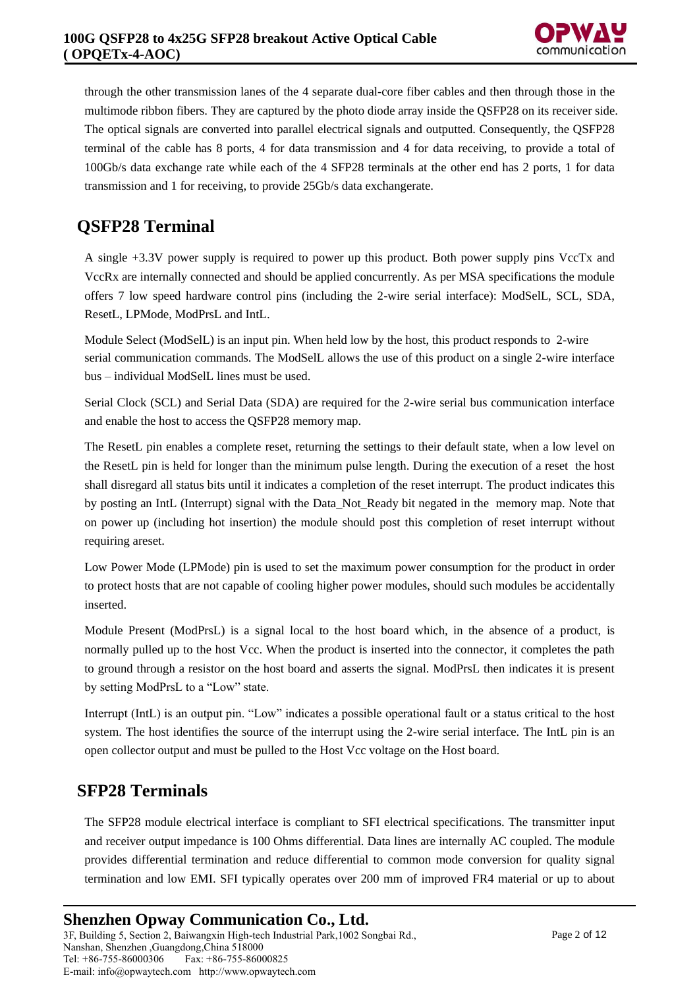through the other transmission lanes of the 4 separate dual-core fiber cables and then through those in the multimode ribbon fibers. They are captured by the photo diode array inside the QSFP28 on its receiver side. The optical signals are converted into parallel electrical signals and outputted. Consequently, the QSFP28 terminal of the cable has 8 ports, 4 for data transmission and 4 for data receiving, to provide a total of 100Gb/s data exchange rate while each of the 4 SFP28 terminals at the other end has 2 ports, 1 for data transmission and 1 for receiving, to provide 25Gb/s data exchangerate.

# **QSFP28 Terminal**

A single +3.3V power supply is required to power up this product. Both power supply pins VccTx and VccRx are internally connected and should be applied concurrently. As per MSA specifications the module offers 7 low speed hardware control pins (including the 2-wire serial interface): ModSelL, SCL, SDA, ResetL, LPMode, ModPrsL and IntL.

Module Select (ModSelL) is an input pin. When held low by the host, this product responds to 2-wire serial communication commands. The ModSelL allows the use of this product on a single 2-wire interface bus – individual ModSelL lines must be used.

Serial Clock (SCL) and Serial Data (SDA) are required for the 2-wire serial bus communication interface and enable the host to access the QSFP28 memory map.

The ResetL pin enables a complete reset, returning the settings to their default state, when a low level on the ResetL pin is held for longer than the minimum pulse length. During the execution of a reset the host shall disregard all status bits until it indicates a completion of the reset interrupt. The product indicates this by posting an IntL (Interrupt) signal with the Data\_Not\_Ready bit negated in the memory map. Note that on power up (including hot insertion) the module should post this completion of reset interrupt without requiring areset.

Low Power Mode (LPMode) pin is used to set the maximum power consumption for the product in order to protect hosts that are not capable of cooling higher power modules, should such modules be accidentally inserted.

Module Present (ModPrsL) is a signal local to the host board which, in the absence of a product, is normally pulled up to the host Vcc. When the product is inserted into the connector, it completes the path to ground through a resistor on the host board and asserts the signal. ModPrsL then indicates it is present by setting ModPrsL to a "Low" state.

Interrupt (IntL) is an output pin. "Low" indicates a possible operational fault or a status critical to the host system. The host identifies the source of the interrupt using the 2-wire serial interface. The IntL pin is an open collector output and must be pulled to the Host Vcc voltage on the Host board.

## **SFP28 Terminals**

The SFP28 module electrical interface is compliant to SFI electrical specifications. The transmitter input and receiver output impedance is 100 Ohms differential. Data lines are internally AC coupled. The module provides differential termination and reduce differential to common mode conversion for quality signal termination and low EMI. SFI typically operates over 200 mm of improved FR4 material or up to about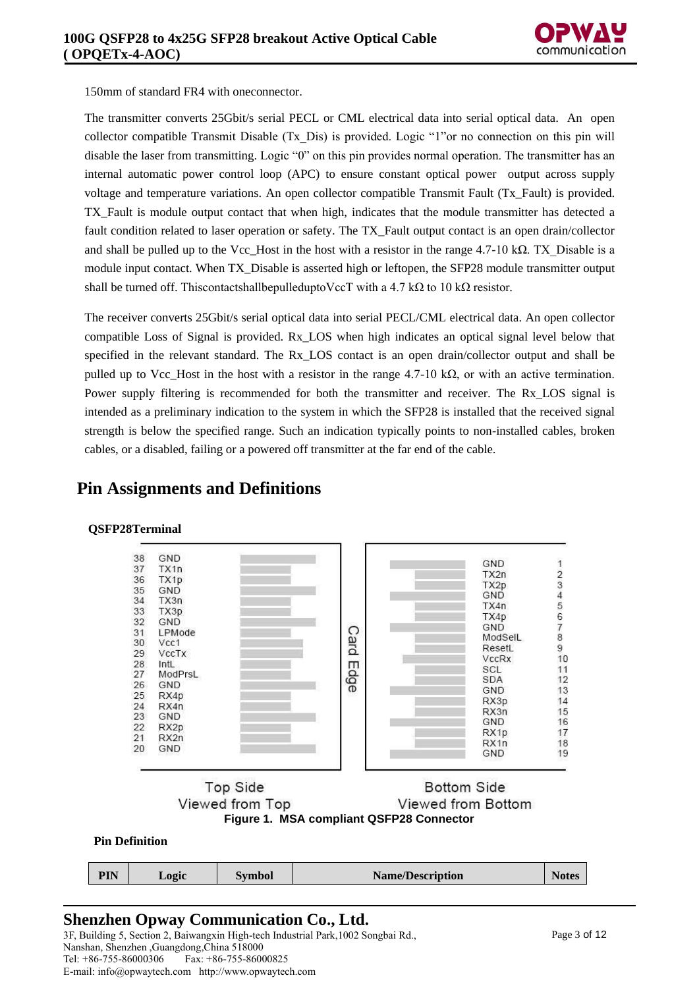

150mm of standard FR4 with oneconnector.

The transmitter converts 25Gbit/s serial PECL or CML electrical data into serial optical data. An open collector compatible Transmit Disable (Tx\_Dis) is provided. Logic "1"or no connection on this pin will disable the laser from transmitting. Logic "0" on this pin provides normal operation. The transmitter has an internal automatic power control loop (APC) to ensure constant optical power output across supply voltage and temperature variations. An open collector compatible Transmit Fault (Tx\_Fault) is provided. TX\_Fault is module output contact that when high, indicates that the module transmitter has detected a fault condition related to laser operation or safety. The TX\_Fault output contact is an open drain/collector and shall be pulled up to the Vcc\_Host in the host with a resistor in the range 4.7-10 kΩ. TX\_Disable is a module input contact. When TX Disable is asserted high or leftopen, the SFP28 module transmitter output shall be turned off. This contactshall be pulled up to VccT with a 4.7 kΩ to 10 kΩ resistor.

The receiver converts 25Gbit/s serial optical data into serial PECL/CML electrical data. An open collector compatible Loss of Signal is provided. Rx\_LOS when high indicates an optical signal level below that specified in the relevant standard. The Rx LOS contact is an open drain/collector output and shall be pulled up to Vcc\_Host in the host with a resistor in the range 4.7-10 kΩ, or with an active termination. Power supply filtering is recommended for both the transmitter and receiver. The Rx LOS signal is intended as a preliminary indication to the system in which the SFP28 is installed that the received signal strength is below the specified range. Such an indication typically points to non-installed cables, broken cables, or a disabled, failing or a powered off transmitter at the far end of the cable.



### **Pin Assignments and Definitions**

## **Shenzhen Opway Communication Co., Ltd.**

3F, Building 5, Section 2, Baiwangxin High-tech Industrial Park,1002 Songbai Rd., Nanshan, Shenzhen ,Guangdong,China 518000 Fax: +86-755-86000825 E-mail: info@opwaytech.com http://www.opwaytech.com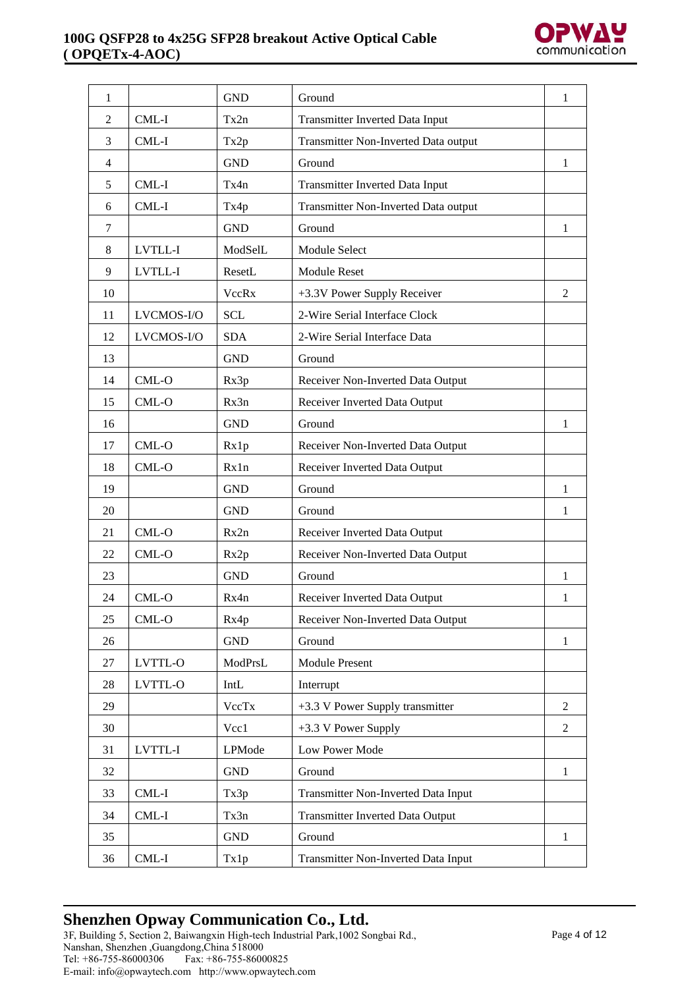

| 1              |            | <b>GND</b>   | Ground                                  |              |
|----------------|------------|--------------|-----------------------------------------|--------------|
| $\overline{2}$ | CML-I      | Tx2n         | <b>Transmitter Inverted Data Input</b>  |              |
| 3              | CML-I      | Tx2p         | Transmitter Non-Inverted Data output    |              |
| $\overline{4}$ |            | <b>GND</b>   | Ground                                  | 1            |
| 5              | CML-I      | Tx4n         | Transmitter Inverted Data Input         |              |
| 6              | CML-I      | Tx4p         | Transmitter Non-Inverted Data output    |              |
| 7              |            | <b>GND</b>   | Ground                                  | $\mathbf{1}$ |
| $\,8\,$        | LVTLL-I    | ModSelL      | Module Select                           |              |
| 9              | LVTLL-I    | ResetL       | <b>Module Reset</b>                     |              |
| 10             |            | <b>VccRx</b> | +3.3V Power Supply Receiver             | 2            |
| 11             | LVCMOS-I/O | <b>SCL</b>   | 2-Wire Serial Interface Clock           |              |
| 12             | LVCMOS-I/O | <b>SDA</b>   | 2-Wire Serial Interface Data            |              |
| 13             |            | <b>GND</b>   | Ground                                  |              |
| 14             | CML-O      | Rx3p         | Receiver Non-Inverted Data Output       |              |
| 15             | $CML-O$    | Rx3n         | Receiver Inverted Data Output           |              |
| 16             |            | <b>GND</b>   | Ground                                  | 1            |
| 17             | CML-O      | Rx1p         | Receiver Non-Inverted Data Output       |              |
| 18             | CML-O      | Rx1n         | Receiver Inverted Data Output           |              |
| 19             |            | <b>GND</b>   | Ground                                  | 1            |
| 20             |            | <b>GND</b>   | Ground                                  | 1            |
| 21             | CML-O      | Rx2n         | Receiver Inverted Data Output           |              |
| 22             | CML-O      | Rx2p         | Receiver Non-Inverted Data Output       |              |
| 23             |            | <b>GND</b>   | Ground                                  | 1            |
| 24             | $CML-O$    | Rx4n         | Receiver Inverted Data Output           | 1            |
| 25             | $CML-O$    | Rx4p         | Receiver Non-Inverted Data Output       |              |
| 26             |            | <b>GND</b>   | Ground                                  | $\mathbf{1}$ |
| 27             | LVTTL-O    | ModPrsL      | <b>Module Present</b>                   |              |
| 28             | LVTTL-O    | IntL         | Interrupt                               |              |
| 29             |            | VccTx        | +3.3 V Power Supply transmitter         | 2            |
| 30             |            | Vcc1         | $+3.3$ V Power Supply                   |              |
| 31             | LVTTL-I    | LPMode       | Low Power Mode                          |              |
| 32             |            | <b>GND</b>   | Ground                                  | $\mathbf{1}$ |
| 33             | CML-I      | Tx3p         | Transmitter Non-Inverted Data Input     |              |
| 34             | CML-I      | Tx3n         | <b>Transmitter Inverted Data Output</b> |              |
| 35             |            | <b>GND</b>   | Ground                                  | $\mathbf{1}$ |
| 36             | $CML-I$    | Tx1p         | Transmitter Non-Inverted Data Input     |              |

# **Shenzhen Opway Communication Co., Ltd.**

3F, Building 5, Section 2, Baiwangxin High-tech Industrial Park,1002 Songbai Rd., Nanshan, Shenzhen ,Guangdong,China 518000 Tel: +86-755-86000306 Fax: +86-755-86000825 E-mail: info@opwaytech.com http://www.opwaytech.com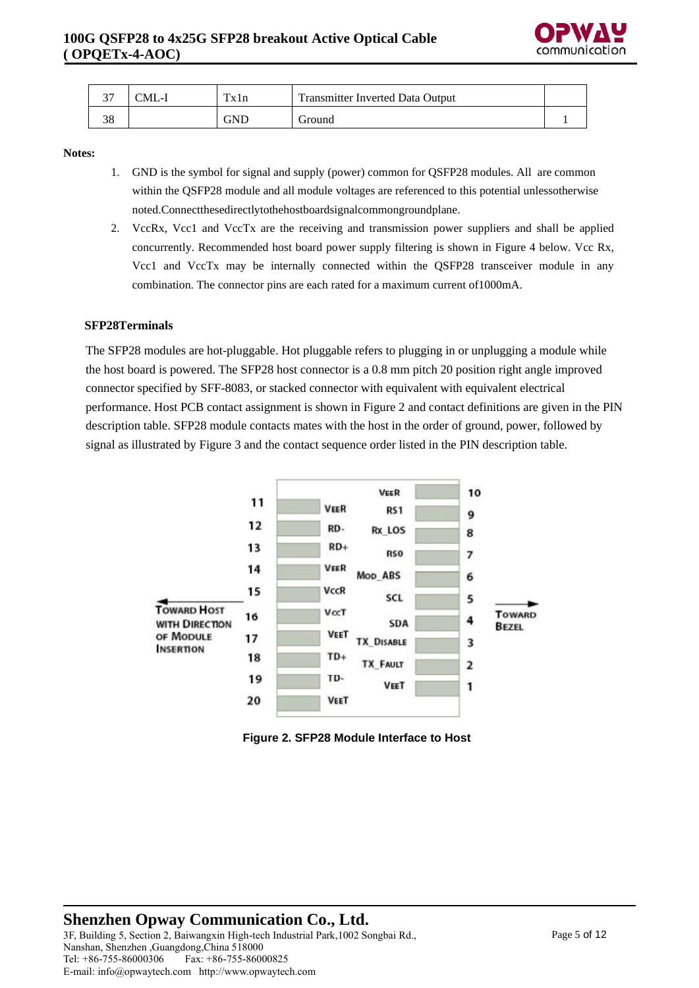

| $\sim$ $\sim$ | CML-I | $T_{\mathbf{V}}$ | <b>Transmitter Inverted Data Output</b> |  |
|---------------|-------|------------------|-----------------------------------------|--|
|               |       | GND              | Ground                                  |  |

#### **Notes:**

- 1. GND is the symbol for signal and supply (power) common for QSFP28 modules. All are common within the QSFP28 module and all module voltages are referenced to this potential unlessotherwise noted.Connectthesedirectlytothehostboardsignalcommongroundplane.
- 2. VccRx, Vcc1 and VccTx are the receiving and transmission power suppliers and shall be applied concurrently. Recommended host board power supply filtering is shown in Figure 4 below. Vcc Rx, Vcc1 and VccTx may be internally connected within the QSFP28 transceiver module in any combination. The connector pins are each rated for a maximum current of1000mA.

#### **SFP28Terminals**

The SFP28 modules are hot-pluggable. Hot pluggable refers to plugging in or unplugging a module while the host board is powered. The SFP28 host connector is a 0.8 mm pitch 20 position right angle improved connector specified by SFF-8083, or stacked connector with equivalent with equivalent electrical performance. Host PCB contact assignment is shown in Figure 2 and contact definitions are given in the PIN description table. SFP28 module contacts mates with the host in the order of ground, power, followed by signal as illustrated by Figure 3 and the contact sequence order listed in the PIN description table.



**Figure 2. SFP28 Module Interface to Host**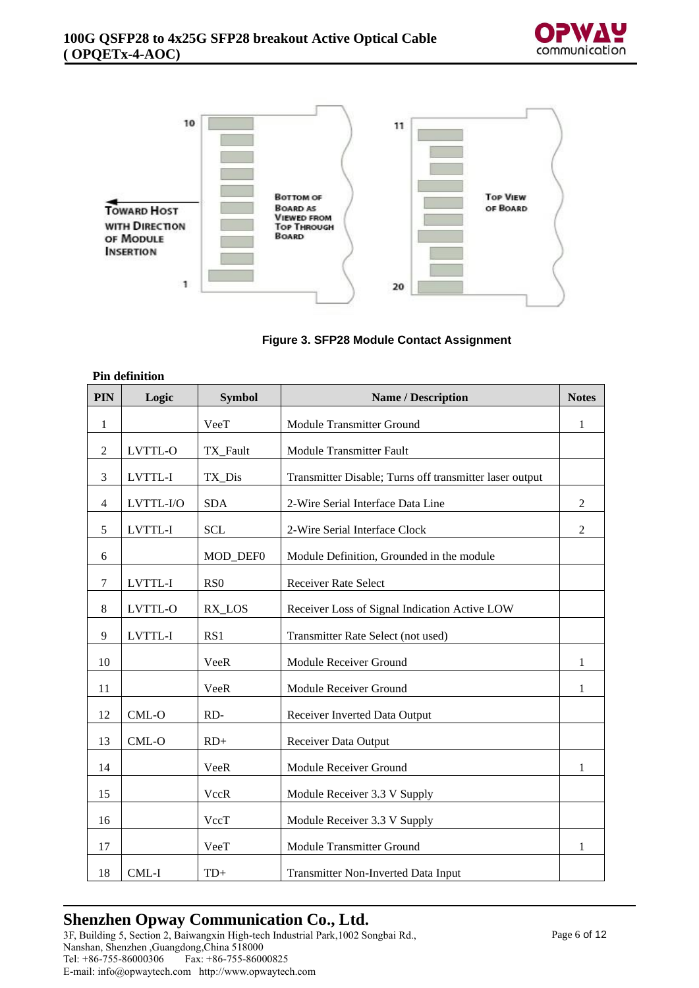



#### **Figure 3. SFP28 Module Contact Assignment**

|            | Pin definition |                  |                                                         |                |
|------------|----------------|------------------|---------------------------------------------------------|----------------|
| <b>PIN</b> | Logic          | <b>Symbol</b>    | <b>Name / Description</b>                               | <b>Notes</b>   |
| 1          |                | VeeT             | Module Transmitter Ground                               | 1              |
| 2          | LVTTL-O        | TX_Fault         | <b>Module Transmitter Fault</b>                         |                |
| 3          | LVTTL-I        | TX Dis           | Transmitter Disable; Turns off transmitter laser output |                |
| 4          | LVTTL-I/O      | <b>SDA</b>       | 2-Wire Serial Interface Data Line                       | $\overline{2}$ |
| 5          | LVTTL-I        | <b>SCL</b>       | 2-Wire Serial Interface Clock                           | $\overline{2}$ |
| 6          |                | MOD_DEF0         | Module Definition, Grounded in the module               |                |
| 7          | LVTTL-I        | R <sub>S</sub> O | <b>Receiver Rate Select</b>                             |                |
| 8          | LVTTL-O        | RX_LOS           | Receiver Loss of Signal Indication Active LOW           |                |
| 9          | LVTTL-I        | RS1              | Transmitter Rate Select (not used)                      |                |
| 10         |                | VeeR             | Module Receiver Ground                                  | 1              |
| 11         |                | VeeR             | Module Receiver Ground                                  | 1              |
| 12         | CML-O          | RD-              | Receiver Inverted Data Output                           |                |
| 13         | CML-O          | $RD+$            | <b>Receiver Data Output</b>                             |                |
| 14         |                | VeeR             | Module Receiver Ground                                  | 1              |
| 15         |                | VccR             | Module Receiver 3.3 V Supply                            |                |
| 16         |                | VccT             | Module Receiver 3.3 V Supply                            |                |
| 17         |                | VeeT             | <b>Module Transmitter Ground</b>                        | 1              |
| 18         | CML-I          | $TD+$            | Transmitter Non-Inverted Data Input                     |                |

### **Pin definition**

## **Shenzhen Opway Communication Co., Ltd.**

3F, Building 5, Section 2, Baiwangxin High-tech Industrial Park,1002 Songbai Rd., Nanshan, Shenzhen ,Guangdong,China 518000  $\text{Fax: } +86-755-86000825$ E-mail: info@opwaytech.com http://www.opwaytech.com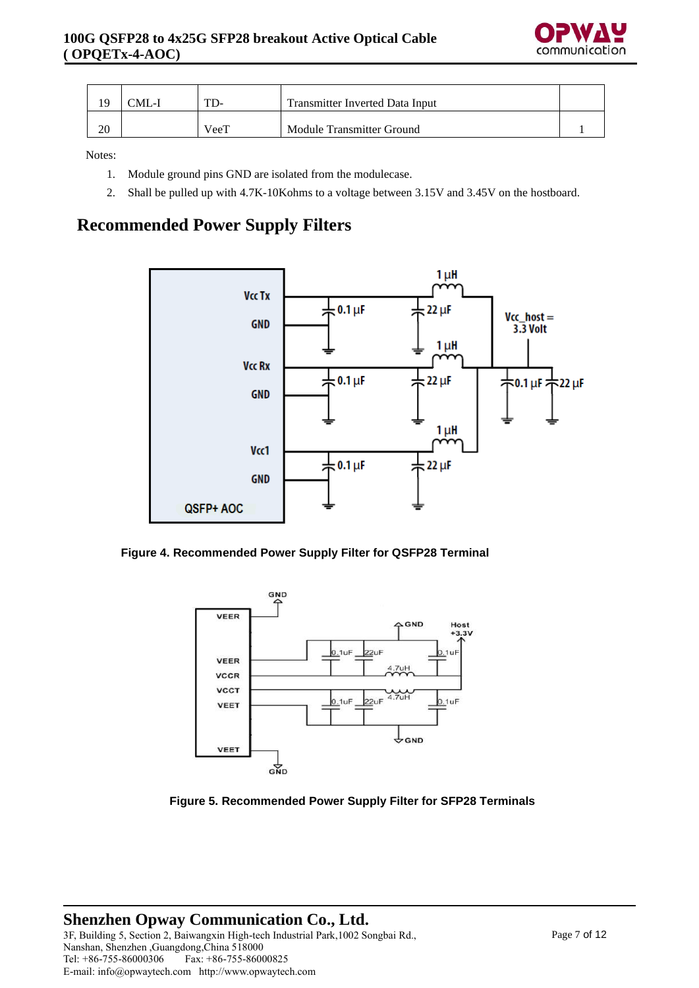

|    | ~ML-1 | TD-  | Transmitter Inverted Data Input |  |
|----|-------|------|---------------------------------|--|
| 20 |       | VeeT | Module Transmitter Ground       |  |

Notes:

- 1. Module ground pins GND are isolated from the modulecase.
- 2. Shall be pulled up with 4.7K-10Kohms to a voltage between 3.15V and 3.45V on the hostboard.

## **Recommended Power Supply Filters**



#### **Figure 4. Recommended Power Supply Filter for QSFP28 Terminal**



#### **Figure 5. Recommended Power Supply Filter for SFP28 Terminals**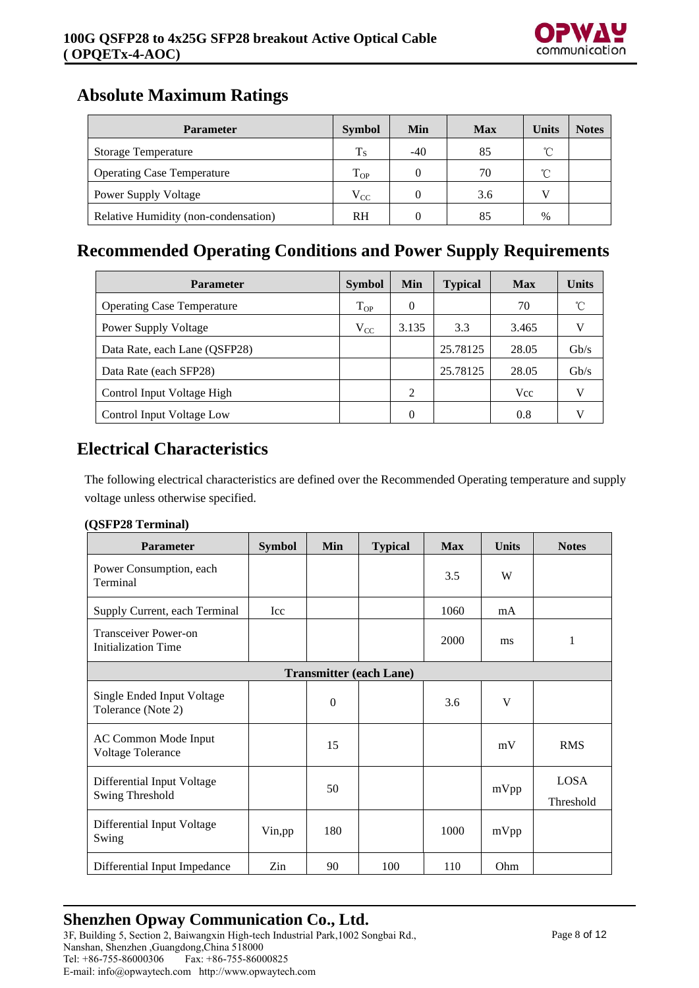

## **Absolute Maximum Ratings**

| <b>Parameter</b>                     | <b>Symbol</b> | Min              | <b>Max</b> | <b>Units</b> | <b>Notes</b> |
|--------------------------------------|---------------|------------------|------------|--------------|--------------|
| <b>Storage Temperature</b>           | $T_S$         | $-40$            | 85         | °C           |              |
| <b>Operating Case Temperature</b>    | $T_{OP}$      | $\theta$         | 70         | °C           |              |
| <b>Power Supply Voltage</b>          | $V_{CC}$      |                  | 3.6        |              |              |
| Relative Humidity (non-condensation) | <b>RH</b>     | $\left( \right)$ | 85         | $\%$         |              |

## **Recommended Operating Conditions and Power Supply Requirements**

| <b>Parameter</b>                  | <b>Symbol</b> | Min      | <b>Typical</b> | <b>Max</b> | Units        |
|-----------------------------------|---------------|----------|----------------|------------|--------------|
| <b>Operating Case Temperature</b> | $T_{OP}$      | $\theta$ |                | 70         | $^{\circ}$ C |
| <b>Power Supply Voltage</b>       | $V_{CC}$      | 3.135    | 3.3            | 3.465      |              |
| Data Rate, each Lane (QSFP28)     |               |          | 25.78125       | 28.05      | Gb/s         |
| Data Rate (each SFP28)            |               |          | 25.78125       | 28.05      | Gb/s         |
| Control Input Voltage High        |               | 2        |                | Vcc        |              |
| Control Input Voltage Low         |               | $\theta$ |                | 0.8        |              |

## **Electrical Characteristics**

The following electrical characteristics are defined over the Recommended Operating temperature and supply voltage unless otherwise specified.

#### **(QSFP28 Terminal)**

| <b>Parameter</b>                                          | <b>Symbol</b>                  | Min      | <b>Typical</b> | <b>Max</b> | <b>Units</b> | <b>Notes</b>             |  |  |
|-----------------------------------------------------------|--------------------------------|----------|----------------|------------|--------------|--------------------------|--|--|
| Power Consumption, each<br>Terminal                       |                                |          |                | 3.5        | W            |                          |  |  |
| Supply Current, each Terminal                             | Icc                            |          |                | 1060       | mA           |                          |  |  |
| <b>Transceiver Power-on</b><br><b>Initialization Time</b> |                                |          |                | 2000       | ms           | 1                        |  |  |
|                                                           | <b>Transmitter (each Lane)</b> |          |                |            |              |                          |  |  |
| Single Ended Input Voltage<br>Tolerance (Note 2)          |                                | $\Omega$ |                | 3.6        | V            |                          |  |  |
| AC Common Mode Input<br><b>Voltage Tolerance</b>          |                                | 15       |                |            | mV           | <b>RMS</b>               |  |  |
| Differential Input Voltage<br>Swing Threshold             |                                | 50       |                |            | mVpp         | <b>LOSA</b><br>Threshold |  |  |
| Differential Input Voltage<br>Swing                       | Vin, pp                        | 180      |                | 1000       | mVpp         |                          |  |  |
| Differential Input Impedance                              | Zin                            | 90       | 100            | 110        | Ohm          |                          |  |  |

## **Shenzhen Opway Communication Co., Ltd.**

3F, Building 5, Section 2, Baiwangxin High-tech Industrial Park,1002 Songbai Rd., Nanshan, Shenzhen ,Guangdong,China 518000  $\overline{Fax: +86-755-86000825}$ E-mail: info@opwaytech.com http://www.opwaytech.com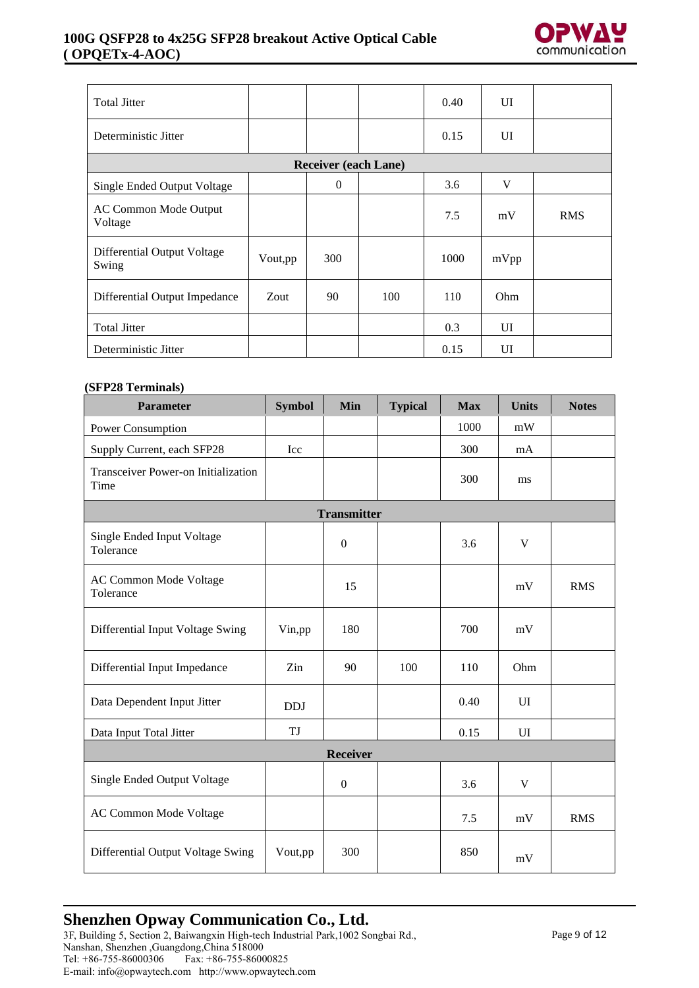#### **100G QSFP28 to 4x25G SFP28 breakout Active Optical Cable ( OPQETx-4-AOC)**



| <b>Total Jitter</b>                     |         |                             |     | 0.40 | UI   |            |
|-----------------------------------------|---------|-----------------------------|-----|------|------|------------|
| Deterministic Jitter                    |         |                             |     | 0.15 | UI   |            |
|                                         |         | <b>Receiver (each Lane)</b> |     |      |      |            |
| Single Ended Output Voltage             |         | $\overline{0}$              |     | 3.6  | V    |            |
| <b>AC Common Mode Output</b><br>Voltage |         |                             |     | 7.5  | mV   | <b>RMS</b> |
| Differential Output Voltage<br>Swing    | Vout,pp | <b>300</b>                  |     | 1000 | mVpp |            |
| Differential Output Impedance           | Zout    | 90                          | 100 | 110  | Ohm  |            |
| <b>Total Jitter</b>                     |         |                             |     | 0.3  | UI   |            |
| Deterministic Jitter                    |         |                             |     | 0.15 | UI   |            |

#### **(SFP28 Terminals)**

| Parameter                                   | <b>Symbol</b> | Min                | <b>Typical</b> | <b>Max</b> | <b>Units</b> | <b>Notes</b> |
|---------------------------------------------|---------------|--------------------|----------------|------------|--------------|--------------|
| Power Consumption                           |               |                    |                | 1000       | mW           |              |
| Supply Current, each SFP28                  | Icc           |                    |                | 300        | mA           |              |
| Transceiver Power-on Initialization<br>Time |               |                    |                | 300        | ms           |              |
|                                             |               | <b>Transmitter</b> |                |            |              |              |
| Single Ended Input Voltage<br>Tolerance     |               | $\boldsymbol{0}$   |                | 3.6        | V            |              |
| <b>AC Common Mode Voltage</b><br>Tolerance  |               | 15                 |                |            | mV           | <b>RMS</b>   |
| Differential Input Voltage Swing            | Vin,pp        | 180                |                | 700        | mV           |              |
| Differential Input Impedance                | Zin           | 90                 | 100            | 110        | Ohm          |              |
| Data Dependent Input Jitter                 | <b>DDJ</b>    |                    |                | 0.40       | UI           |              |
| Data Input Total Jitter                     | TJ            |                    |                | 0.15       | UI           |              |
| <b>Receiver</b>                             |               |                    |                |            |              |              |
| Single Ended Output Voltage                 |               | $\boldsymbol{0}$   |                | 3.6        | $\mathbf V$  |              |
| AC Common Mode Voltage                      |               |                    |                | 7.5        | mV           | <b>RMS</b>   |
| Differential Output Voltage Swing           | Vout,pp       | 300                |                | 850        | mV           |              |

## **Shenzhen Opway Communication Co., Ltd.**

3F, Building 5, Section 2, Baiwangxin High-tech Industrial Park,1002 Songbai Rd., Nanshan, Shenzhen ,Guangdong,China 518000 Tel: +86-755-86000306 Fax: +86-755-86000825 E-mail: info@opwaytech.com http://www.opwaytech.com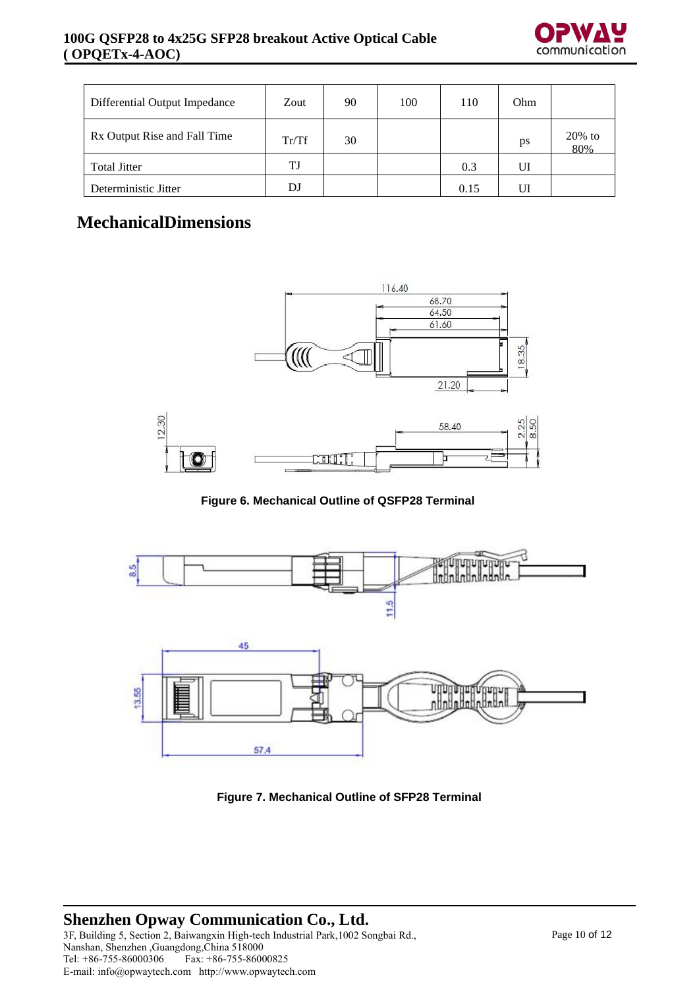

| Differential Output Impedance | Zout  | 90 | 100 | 110  | Ohm |                  |
|-------------------------------|-------|----|-----|------|-----|------------------|
| Rx Output Rise and Fall Time  | Tr/Tf | 30 |     |      | ps  | $20\%$ to<br>80% |
| <b>Total Jitter</b>           | TJ    |    |     | 0.3  | UI  |                  |
| Deterministic Jitter          | DJ    |    |     | 0.15 | UI  |                  |

## **MechanicalDimensions**



**Figure 6. Mechanical Outline of QSFP28 Terminal**



**Figure 7. Mechanical Outline of SFP28 Terminal**

#### **Shenzhen Opway Communication Co., Ltd.** 3F, Building 5, Section 2, Baiwangxin High-tech Industrial Park,1002 Songbai Rd., Nanshan, Shenzhen ,Guangdong,China 518000  $\overline{Fax: +86-755-86000825}$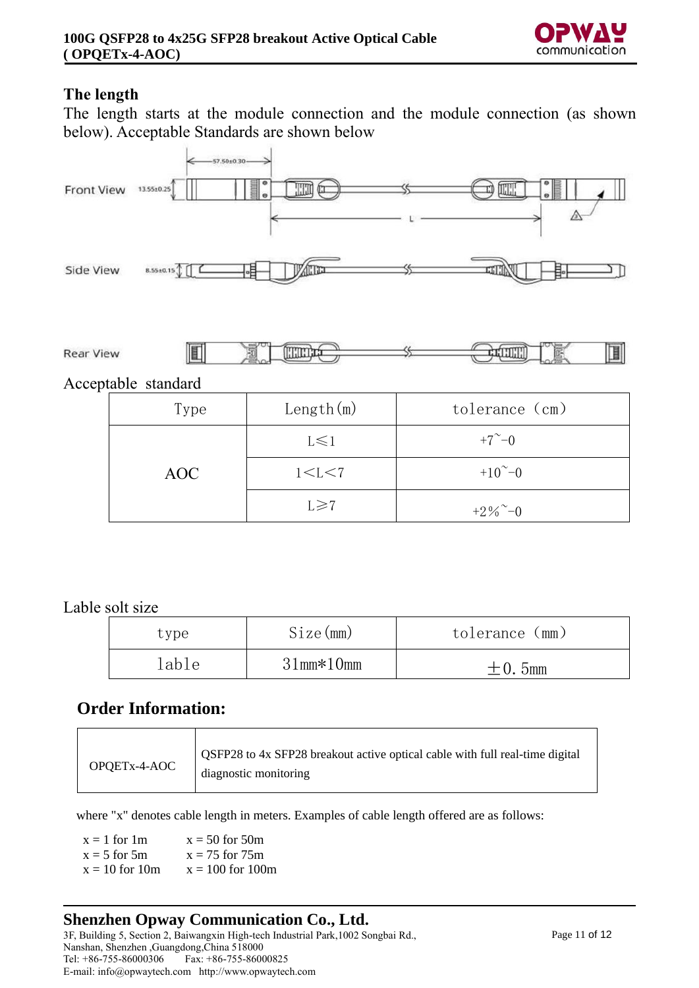

### **The length**

The length starts at the module connection and the module connection (as shown below). Acceptable Standards are shown below





Acceptable standard

| Type | Length $(m)$ | tolerance (cm)         |  |  |
|------|--------------|------------------------|--|--|
|      | $L \leq 1$   | $+7^{\sim}-0$          |  |  |
| AOC  | 1 < L < 7    | $+10^{\sim}-0$         |  |  |
|      | $L \ge 7$    | $+2\%$ <sup>~</sup> -0 |  |  |

### Lable solt size

| type  | Size(mm)         | tolerance (mm) |
|-------|------------------|----------------|
| lable | $31$ mm $*10$ mm | $\pm 0.5$ mm   |

## **Order Information:**

| OPQETx-4-AOC | OSFP28 to 4x SFP28 breakout active optical cable with full real-time digital<br>diagnostic monitoring |
|--------------|-------------------------------------------------------------------------------------------------------|
|--------------|-------------------------------------------------------------------------------------------------------|

where "x" denotes cable length in meters. Examples of cable length offered are as follows:

 $x = 1$  for 1m  $x = 50$  for 50m  $x = 5$  for 5m  $x = 75$  for 75m  $x = 10$  for 10m  $x = 100$  for 100m

### **Shenzhen Opway Communication Co., Ltd.**

3F, Building 5, Section 2, Baiwangxin High-tech Industrial Park,1002 Songbai Rd., Nanshan, Shenzhen ,Guangdong,China 518000  $\overline{Fax: +86-755-86000825}$ E-mail: info@opwaytech.com http://www.opwaytech.com